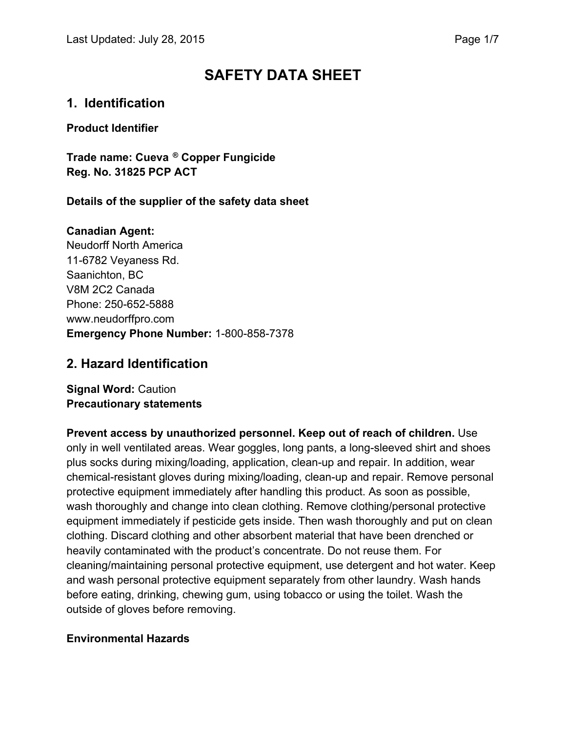# **SAFETY DATA SHEET**

### **1. Identification**

**Product Identifier** 

**Trade name: Cueva ® Copper Fungicide Reg. No. 31825 PCP ACT** 

**Details of the supplier of the safety data sheet** 

#### **Canadian Agent:**

Neudorff North America 11-6782 Veyaness Rd. Saanichton, BC V8M 2C2 Canada Phone: 250-652-5888 www.neudorffpro.com **Emergency Phone Number:** 1-800-858-7378

#### **2. Hazard Identification**

**Signal Word:** Caution **Precautionary statements** 

**Prevent access by unauthorized personnel. Keep out of reach of children.** Use only in well ventilated areas. Wear goggles, long pants, a long-sleeved shirt and shoes plus socks during mixing/loading, application, clean-up and repair. In addition, wear chemical-resistant gloves during mixing/loading, clean-up and repair. Remove personal protective equipment immediately after handling this product. As soon as possible, wash thoroughly and change into clean clothing. Remove clothing/personal protective equipment immediately if pesticide gets inside. Then wash thoroughly and put on clean clothing. Discard clothing and other absorbent material that have been drenched or heavily contaminated with the product's concentrate. Do not reuse them. For cleaning/maintaining personal protective equipment, use detergent and hot water. Keep and wash personal protective equipment separately from other laundry. Wash hands before eating, drinking, chewing gum, using tobacco or using the toilet. Wash the outside of gloves before removing.

#### **Environmental Hazards**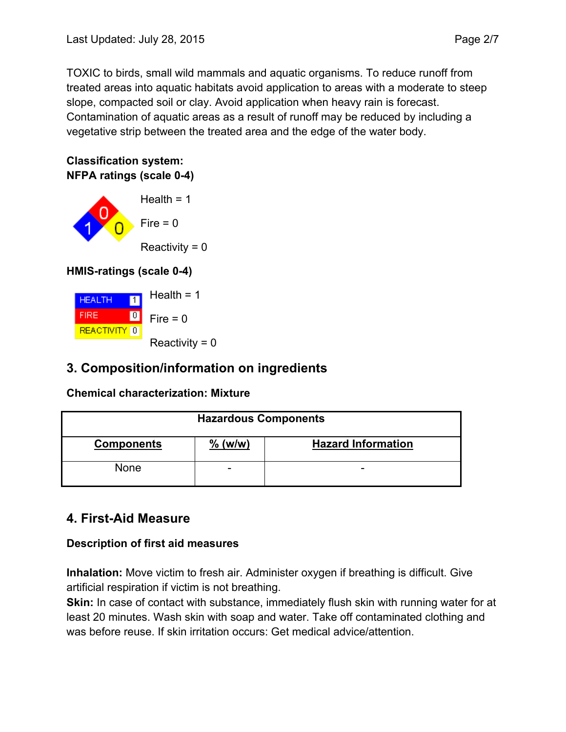TOXIC to birds, small wild mammals and aquatic organisms. To reduce runoff from treated areas into aquatic habitats avoid application to areas with a moderate to steep slope, compacted soil or clay. Avoid application when heavy rain is forecast. Contamination of aquatic areas as a result of runoff may be reduced by including a vegetative strip between the treated area and the edge of the water body.

#### **Classification system: NFPA ratings (scale 0-4)**



### **HMIS-ratings (scale 0-4)**



## **3. Composition/information on ingredients**

#### **Chemical characterization: Mixture**

| <b>Hazardous Components</b> |                          |                           |
|-----------------------------|--------------------------|---------------------------|
| <b>Components</b>           | $\%$ (w/w)               | <b>Hazard Information</b> |
| <b>None</b>                 | $\overline{\phantom{0}}$ | $\overline{\phantom{0}}$  |

## **4. First-Aid Measure**

### **Description of first aid measures**

**Inhalation:** Move victim to fresh air. Administer oxygen if breathing is difficult. Give artificial respiration if victim is not breathing.

**Skin:** In case of contact with substance, immediately flush skin with running water for at least 20 minutes. Wash skin with soap and water. Take off contaminated clothing and was before reuse. If skin irritation occurs: Get medical advice/attention.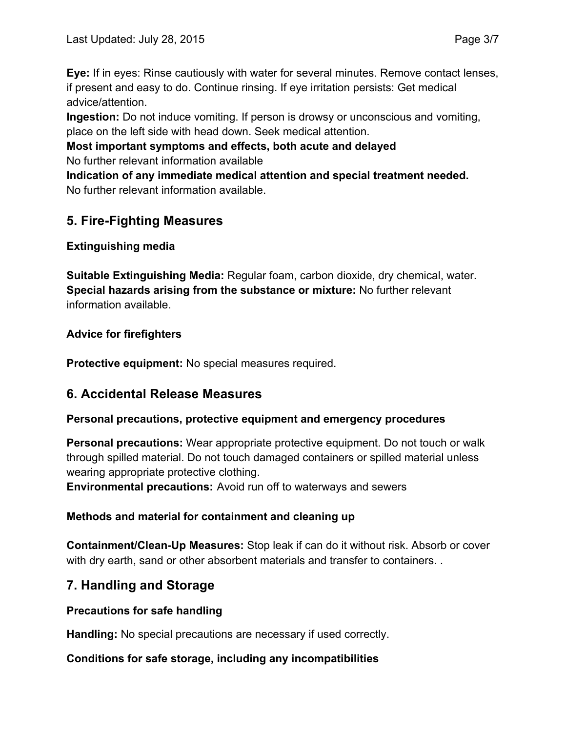**Eye:** If in eyes: Rinse cautiously with water for several minutes. Remove contact lenses, if present and easy to do. Continue rinsing. If eye irritation persists: Get medical advice/attention.

**Ingestion:** Do not induce vomiting. If person is drowsy or unconscious and vomiting, place on the left side with head down. Seek medical attention.

**Most important symptoms and effects, both acute and delayed**  No further relevant information available

**Indication of any immediate medical attention and special treatment needed.**  No further relevant information available.

## **5. Fire-Fighting Measures**

### **Extinguishing media**

**Suitable Extinguishing Media:** Regular foam, carbon dioxide, dry chemical, water. **Special hazards arising from the substance or mixture:** No further relevant information available.

#### **Advice for firefighters**

**Protective equipment:** No special measures required.

### **6. Accidental Release Measures**

#### **Personal precautions, protective equipment and emergency procedures**

**Personal precautions:** Wear appropriate protective equipment. Do not touch or walk through spilled material. Do not touch damaged containers or spilled material unless wearing appropriate protective clothing. **Environmental precautions:** Avoid run off to waterways and sewers

#### **Methods and material for containment and cleaning up**

**Containment/Clean-Up Measures:** Stop leak if can do it without risk. Absorb or cover with dry earth, sand or other absorbent materials and transfer to containers. .

## **7. Handling and Storage**

#### **Precautions for safe handling**

**Handling:** No special precautions are necessary if used correctly.

#### **Conditions for safe storage, including any incompatibilities**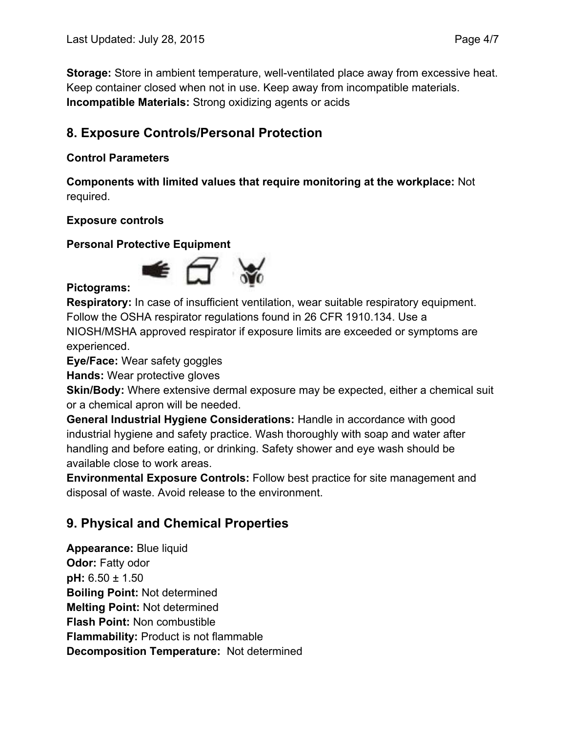**Storage:** Store in ambient temperature, well-ventilated place away from excessive heat. Keep container closed when not in use. Keep away from incompatible materials. **Incompatible Materials:** Strong oxidizing agents or acids

## **8. Exposure Controls/Personal Protection**

#### **Control Parameters**

**Components with limited values that require monitoring at the workplace:** Not required.

#### **Exposure controls**

**Personal Protective Equipment** 



#### **Pictograms:**

**Respiratory:** In case of insufficient ventilation, wear suitable respiratory equipment. Follow the OSHA respirator regulations found in 26 CFR 1910.134. Use a NIOSH/MSHA approved respirator if exposure limits are exceeded or symptoms are experienced.

**Eye/Face:** Wear safety goggles

**Hands:** Wear protective gloves

**Skin/Body:** Where extensive dermal exposure may be expected, either a chemical suit or a chemical apron will be needed.

**General Industrial Hygiene Considerations:** Handle in accordance with good industrial hygiene and safety practice. Wash thoroughly with soap and water after handling and before eating, or drinking. Safety shower and eye wash should be available close to work areas.

**Environmental Exposure Controls:** Follow best practice for site management and disposal of waste. Avoid release to the environment.

## **9. Physical and Chemical Properties**

**Appearance:** Blue liquid **Odor: Fatty odor pH:** 6.50 ± 1.50 **Boiling Point:** Not determined **Melting Point:** Not determined **Flash Point:** Non combustible **Flammability:** Product is not flammable **Decomposition Temperature:** Not determined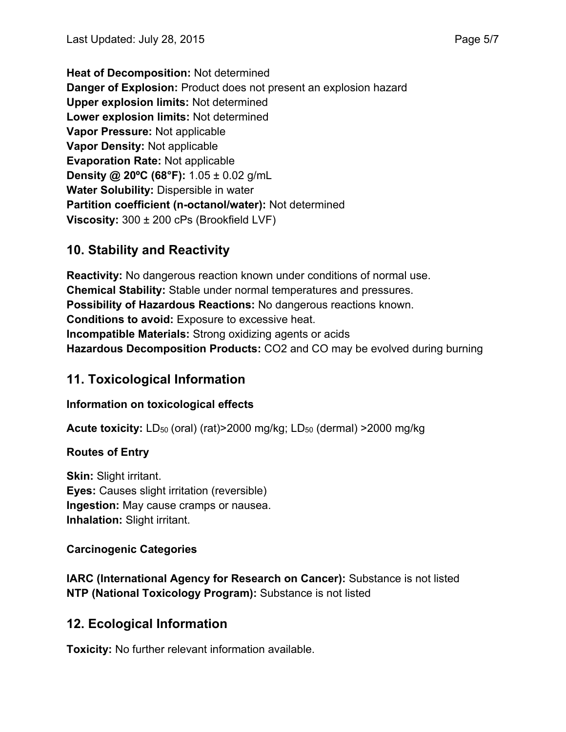**Heat of Decomposition:** Not determined **Danger of Explosion:** Product does not present an explosion hazard **Upper explosion limits:** Not determined **Lower explosion limits:** Not determined **Vapor Pressure:** Not applicable **Vapor Density:** Not applicable **Evaporation Rate:** Not applicable **Density @ 20ºC (68°F):** 1.05 ± 0.02 g/mL **Water Solubility:** Dispersible in water **Partition coefficient (n-octanol/water):** Not determined **Viscosity:** 300 ± 200 cPs (Brookfield LVF)

## **10. Stability and Reactivity**

**Reactivity:** No dangerous reaction known under conditions of normal use. **Chemical Stability:** Stable under normal temperatures and pressures. **Possibility of Hazardous Reactions:** No dangerous reactions known. **Conditions to avoid:** Exposure to excessive heat. **Incompatible Materials:** Strong oxidizing agents or acids **Hazardous Decomposition Products:** CO2 and CO may be evolved during burning

## **11. Toxicological Information**

#### **Information on toxicological effects**

**Acute toxicity:** LD<sub>50</sub> (oral) (rat)>2000 mg/kg; LD<sub>50</sub> (dermal) >2000 mg/kg

#### **Routes of Entry**

**Skin:** Slight irritant. **Eyes:** Causes slight irritation (reversible) **Ingestion:** May cause cramps or nausea. **Inhalation:** Slight irritant.

#### **Carcinogenic Categories**

**IARC (International Agency for Research on Cancer):** Substance is not listed **NTP (National Toxicology Program):** Substance is not listed

## **12. Ecological Information**

**Toxicity:** No further relevant information available.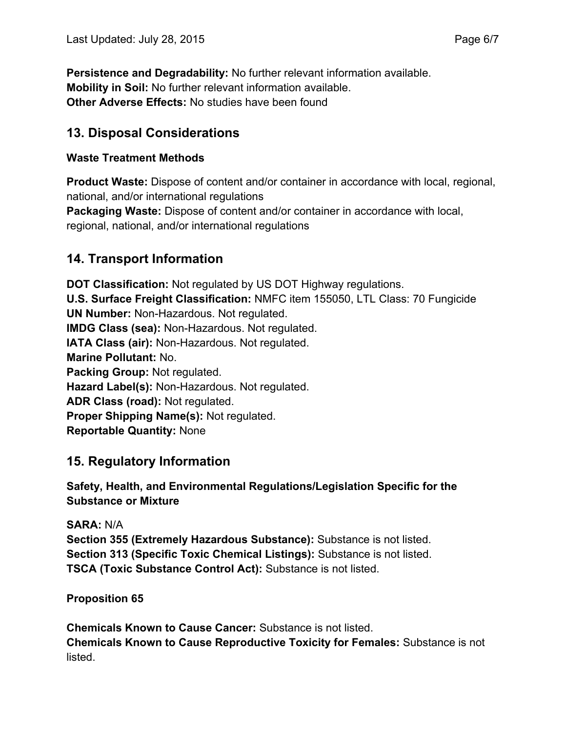**Persistence and Degradability:** No further relevant information available. **Mobility in Soil:** No further relevant information available. **Other Adverse Effects:** No studies have been found

### **13. Disposal Considerations**

#### **Waste Treatment Methods**

**Product Waste:** Dispose of content and/or container in accordance with local, regional, national, and/or international regulations

**Packaging Waste:** Dispose of content and/or container in accordance with local, regional, national, and/or international regulations

## **14. Transport Information**

**DOT Classification:** Not regulated by US DOT Highway regulations. **U.S. Surface Freight Classification:** NMFC item 155050, LTL Class: 70 Fungicide **UN Number:** Non-Hazardous. Not regulated. **IMDG Class (sea):** Non-Hazardous. Not regulated. **IATA Class (air):** Non-Hazardous. Not regulated. **Marine Pollutant:** No. **Packing Group:** Not regulated. **Hazard Label(s):** Non-Hazardous. Not regulated. **ADR Class (road):** Not regulated. **Proper Shipping Name(s):** Not regulated. **Reportable Quantity:** None

## **15. Regulatory Information**

**Safety, Health, and Environmental Regulations/Legislation Specific for the Substance or Mixture** 

**SARA:** N/A **Section 355 (Extremely Hazardous Substance):** Substance is not listed. **Section 313 (Specific Toxic Chemical Listings):** Substance is not listed. **TSCA (Toxic Substance Control Act):** Substance is not listed.

**Proposition 65** 

**Chemicals Known to Cause Cancer:** Substance is not listed. **Chemicals Known to Cause Reproductive Toxicity for Females:** Substance is not listed.